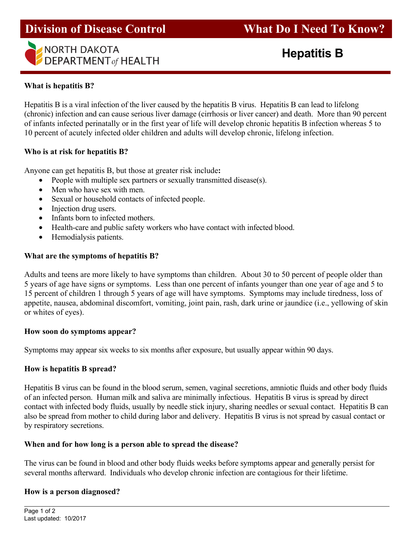



## **What is hepatitis B?**

Hepatitis B is a viral infection of the liver caused by the hepatitis B virus. Hepatitis B can lead to lifelong (chronic) infection and can cause serious liver damage (cirrhosis or liver cancer) and death. More than 90 percent of infants infected perinatally or in the first year of life will develop chronic hepatitis B infection whereas 5 to 10 percent of acutely infected older children and adults will develop chronic, lifelong infection.

## **Who is at risk for hepatitis B?**

Anyone can get hepatitis B, but those at greater risk include**:** 

- People with multiple sex partners or sexually transmitted disease(s).
- Men who have sex with men.
- Sexual or household contacts of infected people.
- Injection drug users.
- Infants born to infected mothers.
- Health-care and public safety workers who have contact with infected blood.
- Hemodialysis patients.

## **What are the symptoms of hepatitis B?**

Adults and teens are more likely to have symptoms than children. About 30 to 50 percent of people older than 5 years of age have signs or symptoms. Less than one percent of infants younger than one year of age and 5 to 15 percent of children 1 through 5 years of age will have symptoms. Symptoms may include tiredness, loss of appetite, nausea, abdominal discomfort, vomiting, joint pain, rash, dark urine or jaundice (i.e., yellowing of skin or whites of eyes).

## **How soon do symptoms appear?**

Symptoms may appear six weeks to six months after exposure, but usually appear within 90 days.

## **How is hepatitis B spread?**

Hepatitis B virus can be found in the blood serum, semen, vaginal secretions, amniotic fluids and other body fluids of an infected person. Human milk and saliva are minimally infectious. Hepatitis B virus is spread by direct contact with infected body fluids, usually by needle stick injury, sharing needles or sexual contact. Hepatitis B can also be spread from mother to child during labor and delivery. Hepatitis B virus is not spread by casual contact or by respiratory secretions.

## **When and for how long is a person able to spread the disease?**

The virus can be found in blood and other body fluids weeks before symptoms appear and generally persist for several months afterward. Individuals who develop chronic infection are contagious for their lifetime.

# **How is a person diagnosed?**